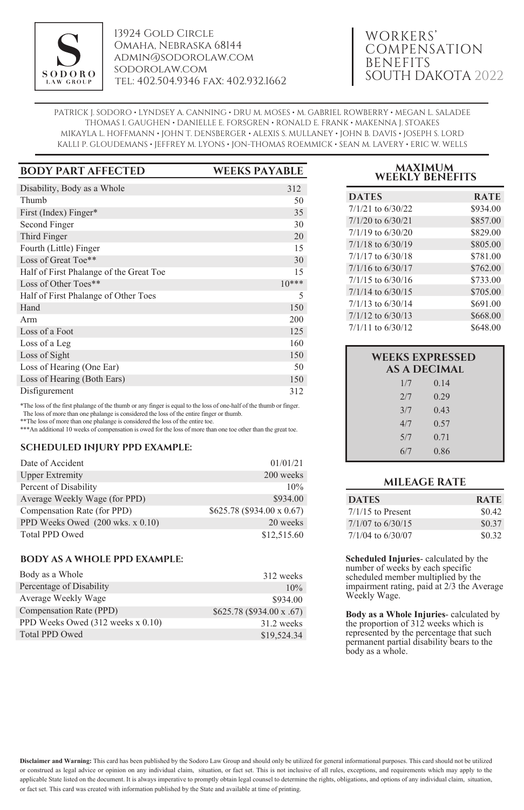

13924 Gold Circle Omaha, Nebraska 68144 admin@sodorolaw.com sodorolaw.com tel: 402.504.9346 fax: 402.932.1662

# WORKERS' COMPENSATION BENEFITS SOUTH DAKOTA 2022

PATRICK J. SODORO • LYNDSEY A. CANNING • DRU M. MOSES • M. GABRIEL ROWBERRY • MEGAN L. SALADEE THOMAS I. GAUGHEN • DANIELLE E. FORSGREN • RONALD E. FRANK • MAKENNA J. STOAKES MIKAYLA L. HOFFMANN • JOHN T. DENSBERGER • ALEXIS S. MULLANEY • JOHN B. DAVIS • JOSEPH S. LORD KALLI P. GLOUDEMANS • JEFFREY M. LYONS • JON-THOMAS ROEMMICK • SEAN M. LAVERY • ERIC W. WELLS

| <b>BODY PART AFFECTED</b>               | <b>WEEKS PAYABLE</b> |
|-----------------------------------------|----------------------|
| Disability, Body as a Whole             | 312                  |
| Thumb                                   | 50                   |
| First (Index) Finger*                   | 35                   |
| Second Finger                           | 30                   |
| Third Finger                            | 20                   |
| Fourth (Little) Finger                  | 15                   |
| Loss of Great Toe**                     | 30                   |
| Half of First Phalange of the Great Toe | 15                   |
| Loss of Other Toes**                    | $10***$              |
| Half of First Phalange of Other Toes    | 5                    |
| Hand                                    | 150                  |
| Arm                                     | 200                  |
| Loss of a Foot                          | 125                  |
| Loss of a Leg                           | 160                  |
| Loss of Sight                           | 150                  |
| Loss of Hearing (One Ear)               | 50                   |
| Loss of Hearing (Both Ears)             | 150                  |
| Disfigurement                           | 312                  |

\*The loss of the first phalange of the thumb or any finger is equal to the loss of one-half of the thumb or finger. The loss of more than one phalange is considered the loss of the entire finger or thumb.

\*\*The loss of more than one phalange is considered the loss of the entire toe.

\*\*\*An additional 10 weeks of compensation is owed for the loss of more than one toe other than the great toe.

#### **SCHEDULED INJURY PPD EXAMPLE:**

| Date of Accident                            | 01/01/21                   |
|---------------------------------------------|----------------------------|
| <b>Upper Extremity</b>                      | 200 weeks                  |
| Percent of Disability                       | 10%                        |
| Average Weekly Wage (for PPD)               | \$934.00                   |
| Compensation Rate (for PPD)                 | \$625.78 (\$934.00 x 0.67) |
| PPD Weeks Owed $(200 \text{ wks. x } 0.10)$ | 20 weeks                   |
| <b>Total PPD Owed</b>                       | \$12,515.60                |

## **BODY AS A WHOLE PPD EXAMPLE:**

| Body as a Whole                   | 312 weeks                 |
|-----------------------------------|---------------------------|
| Percentage of Disability          | 10%                       |
| Average Weekly Wage               | \$934.00                  |
| Compensation Rate (PPD)           | \$625.78 (\$934.00 x .67) |
| PPD Weeks Owed (312 weeks x 0.10) | 31.2 weeks                |
| Total PPD Owed                    | \$19,524.34               |

# **MAXIMUM WEEKLY BENEFITS**

| <b>DATES</b>          | <b>RATE</b> |
|-----------------------|-------------|
| $7/1/21$ to $6/30/22$ | \$934.00    |
| $7/1/20$ to 6/30/21   | \$857.00    |
| $7/1/19$ to 6/30/20   | \$829.00    |
| $7/1/18$ to $6/30/19$ | \$805.00    |
| $7/1/17$ to 6/30/18   | \$781.00    |
| $7/1/16$ to $6/30/17$ | \$762.00    |
| $7/1/15$ to 6/30/16   | \$733.00    |
| $7/1/14$ to 6/30/15   | \$705.00    |
| $7/1/13$ to $6/30/14$ | \$691.00    |
| $7/1/12$ to 6/30/13   | \$668.00    |
| $7/1/11$ to 6/30/12   | \$648.00    |

| <b>WEEKS EXPRESSED</b><br><b>AS A DECIMAL</b> |      |  |
|-----------------------------------------------|------|--|
| 1/7                                           | 0.14 |  |
| 2/7                                           | 0.29 |  |
| 3/7                                           | 0.43 |  |
| 4/7                                           | 0.57 |  |
| 5/7                                           | 0.71 |  |
| 6/7                                           | 0.86 |  |

## **MILEAGE RATE**

| <b>DATES</b>        | <b>RATE</b> |
|---------------------|-------------|
| $7/1/15$ to Present | \$0.42      |
| 7/1/07 to 6/30/15   | \$0.37      |
| 7/1/04 to 6/30/07   | \$0.32      |

**Scheduled Injuries**- calculated by the number of weeks by each specific scheduled member multiplied by the impairment rating, paid at 2/3 the Average Weekly Wage.

**Body as a Whole Injuries**- calculated by the proportion of 312 weeks which is represented by the percentage that such permanent partial disability bears to the body as a whole.

**Disclaimer and Warning:** This card has been published by the Sodoro Law Group and should only be utilized for general informational purposes. This card should not be utilized or construed as legal advice or opinion on any individual claim, situation, or fact set. This is not inclusive of all rules, exceptions, and requirements which may apply to the applicable State listed on the document. It is always imperative to promptly obtain legal counsel to determine the rights, obligations, and options of any individual claim, situation, or fact set. This card was created with information published by the State and available at time of printing.